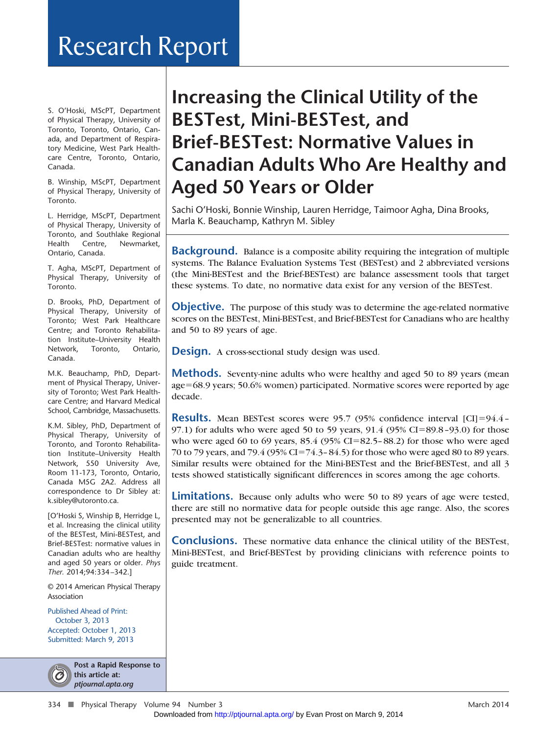# Research Report

S. O'Hoski, MScPT, Department of Physical Therapy, University of Toronto, Toronto, Ontario, Canada, and Department of Respiratory Medicine, West Park Healthcare Centre, Toronto, Ontario, Canada.

B. Winship, MScPT, Department of Physical Therapy, University of Toronto.

L. Herridge, MScPT, Department of Physical Therapy, University of Toronto, and Southlake Regional Health Centre, Newmarket, Ontario, Canada.

T. Agha, MScPT, Department of Physical Therapy, University of Toronto.

D. Brooks, PhD, Department of Physical Therapy, University of Toronto; West Park Healthcare Centre; and Toronto Rehabilitation Institute–University Health Network, Toronto, Ontario, Canada.

M.K. Beauchamp, PhD, Department of Physical Therapy, University of Toronto; West Park Healthcare Centre; and Harvard Medical School, Cambridge, Massachusetts.

K.M. Sibley, PhD, Department of Physical Therapy, University of Toronto, and Toronto Rehabilitation Institute–University Health Network, 550 University Ave, Room 11-173, Toronto, Ontario, Canada M5G 2A2. Address all correspondence to Dr Sibley at: k.sibley@utoronto.ca.

[O'Hoski S, Winship B, Herridge L, et al. Increasing the clinical utility of the BESTest, Mini-BESTest, and Brief-BESTest: normative values in Canadian adults who are healthy and aged 50 years or older. *Phys Ther.* 2014;94:334–342.]

© 2014 American Physical Therapy Association

Published Ahead of Print: October 3, 2013 Accepted: October 1, 2013 Submitted: March 9, 2013



**Post a Rapid Response to this article at:** *ptjournal.apta.org*

## **Increasing the Clinical Utility of the BESTest, Mini-BESTest, and Brief-BESTest: Normative Values in Canadian Adults Who Are Healthy and Aged 50 Years or Older**

Sachi O'Hoski, Bonnie Winship, Lauren Herridge, Taimoor Agha, Dina Brooks, Marla K. Beauchamp, Kathryn M. Sibley

**Background.** Balance is a composite ability requiring the integration of multiple systems. The Balance Evaluation Systems Test (BESTest) and 2 abbreviated versions (the Mini-BESTest and the Brief-BESTest) are balance assessment tools that target these systems. To date, no normative data exist for any version of the BESTest.

**Objective.** The purpose of this study was to determine the age-related normative scores on the BESTest, Mini-BESTest, and Brief-BESTest for Canadians who are healthy and 50 to 89 years of age.

**Design.** A cross-sectional study design was used.

**Methods.** Seventy-nine adults who were healthy and aged 50 to 89 years (mean) age-68.9 years; 50.6% women) participated. Normative scores were reported by age decade.

**Results.** Mean BESTest scores were 95.7 (95% confidence interval [CI]=94.4-97.1) for adults who were aged 50 to 59 years, 91.4 (95% CI=89.8-93.0) for those who were aged 60 to 69 years, 85.4 (95% CI=82.5-88.2) for those who were aged 70 to 79 years, and 79.4 (95% CI=74.3-84.5) for those who were aged 80 to 89 years. Similar results were obtained for the Mini-BESTest and the Brief-BESTest, and all 3 tests showed statistically significant differences in scores among the age cohorts.

**Limitations.** Because only adults who were 50 to 89 years of age were tested, there are still no normative data for people outside this age range. Also, the scores presented may not be generalizable to all countries.

**Conclusions.** These normative data enhance the clinical utility of the BESTest, Mini-BESTest, and Brief-BESTest by providing clinicians with reference points to guide treatment.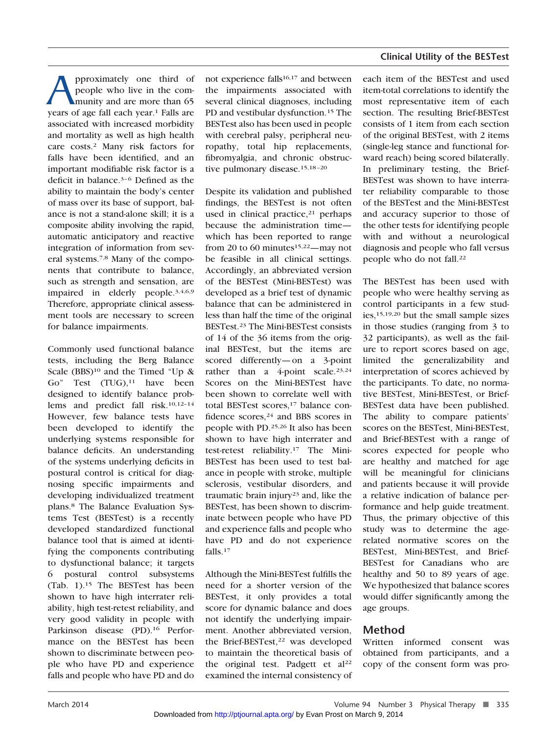**A** peroximately one third of people who live in the community and are more than 65 years of age fall each year.<sup>1</sup> Falls are people who live in the community and are more than 65 associated with increased morbidity and mortality as well as high health care costs.2 Many risk factors for falls have been identified, and an important modifiable risk factor is a deficit in balance.<sup>3-6</sup> Defined as the ability to maintain the body's center of mass over its base of support, balance is not a stand-alone skill; it is a composite ability involving the rapid, automatic anticipatory and reactive integration of information from several systems.7,8 Many of the components that contribute to balance, such as strength and sensation, are impaired in elderly people.3,4,6,9 Therefore, appropriate clinical assessment tools are necessary to screen for balance impairments.

Commonly used functional balance tests, including the Berg Balance Scale  $(BBS)^{10}$  and the Timed "Up & Go" Test (TUG),<sup>11</sup> have been designed to identify balance problems and predict fall risk.10,12–14 However, few balance tests have been developed to identify the underlying systems responsible for balance deficits. An understanding of the systems underlying deficits in postural control is critical for diagnosing specific impairments and developing individualized treatment plans.8 The Balance Evaluation Systems Test (BESTest) is a recently developed standardized functional balance tool that is aimed at identifying the components contributing to dysfunctional balance; it targets 6 postural control subsystems (Tab. 1).15 The BESTest has been shown to have high interrater reliability, high test-retest reliability, and very good validity in people with Parkinson disease (PD).<sup>16</sup> Performance on the BESTest has been shown to discriminate between people who have PD and experience falls and people who have PD and do

not experience falls<sup>16,17</sup> and between the impairments associated with several clinical diagnoses, including PD and vestibular dysfunction.15 The BESTest also has been used in people with cerebral palsy, peripheral neuropathy, total hip replacements, fibromyalgia, and chronic obstructive pulmonary disease.<sup>15,18-20</sup>

Despite its validation and published findings, the BESTest is not often used in clinical practice, $21$  perhaps because the administration time which has been reported to range from 20 to 60 minutes<sup>15,22</sup>—may not be feasible in all clinical settings. Accordingly, an abbreviated version of the BESTest (Mini-BESTest) was developed as a brief test of dynamic balance that can be administered in less than half the time of the original BESTest.23 The Mini-BESTest consists of 14 of the 36 items from the original BESTest, but the items are scored differently— on a 3-point rather than a 4-point scale.<sup>23,24</sup> Scores on the Mini-BESTest have been shown to correlate well with total BESTest scores,<sup>17</sup> balance confidence scores,<sup>24</sup> and BBS scores in people with PD.25,26 It also has been shown to have high interrater and test-retest reliability.17 The Mini-BESTest has been used to test balance in people with stroke, multiple sclerosis, vestibular disorders, and traumatic brain injury<sup>23</sup> and, like the BESTest, has been shown to discriminate between people who have PD and experience falls and people who have PD and do not experience falls.17

Although the Mini-BESTest fulfills the need for a shorter version of the BESTest, it only provides a total score for dynamic balance and does not identify the underlying impairment. Another abbreviated version, the Brief-BESTest,<sup>22</sup> was developed to maintain the theoretical basis of the original test. Padgett et al<sup>22</sup> examined the intern[al consistency of](http://ptjournal.apta.org/) each item of the BESTest and used item-total correlations to identify the most representative item of each section. The resulting Brief-BESTest consists of 1 item from each section of the original BESTest, with 2 items (single-leg stance and functional forward reach) being scored bilaterally. In preliminary testing, the Brief-BESTest was shown to have interrater reliability comparable to those of the BESTest and the Mini-BESTest and accuracy superior to those of the other tests for identifying people with and without a neurological diagnosis and people who fall versus people who do not fall.<sup>22</sup>

The BESTest has been used with people who were healthy serving as control participants in a few studies,15,19,20 but the small sample sizes in those studies (ranging from 3 to 32 participants), as well as the failure to report scores based on age, limited the generalizability and interpretation of scores achieved by the participants. To date, no normative BESTest, Mini-BESTest, or Brief-BESTest data have been published. The ability to compare patients' scores on the BESTest, Mini-BESTest, and Brief-BESTest with a range of scores expected for people who are healthy and matched for age will be meaningful for clinicians and patients because it will provide a relative indication of balance performance and help guide treatment. Thus, the primary objective of this study was to determine the agerelated normative scores on the BESTest, Mini-BESTest, and Brief-BESTest for Canadians who are healthy and 50 to 89 years of age. We hypothesized that balance scores would differ significantly among the age groups.

## **Method**

Written informed consent was obtained from participants, and a copy of the consent form was pro-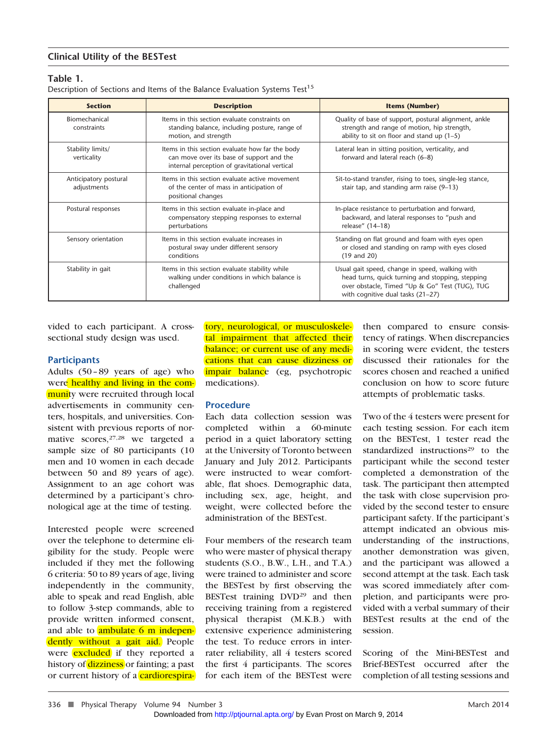## **Table 1.**

Description of Sections and Items of the Balance Evaluation Systems Test<sup>15</sup>

| <b>Section</b>                       | <b>Description</b>                                                                                                                            | <b>Items (Number)</b>                                                                                                                                                                      |
|--------------------------------------|-----------------------------------------------------------------------------------------------------------------------------------------------|--------------------------------------------------------------------------------------------------------------------------------------------------------------------------------------------|
| Biomechanical<br>constraints         | Items in this section evaluate constraints on<br>standing balance, including posture, range of<br>motion, and strength                        | Quality of base of support, postural alignment, ankle<br>strength and range of motion, hip strength,<br>ability to sit on floor and stand up $(1-5)$                                       |
| Stability limits/<br>verticality     | Items in this section evaluate how far the body<br>can move over its base of support and the<br>internal perception of gravitational vertical | Lateral lean in sitting position, verticality, and<br>forward and lateral reach (6-8)                                                                                                      |
| Anticipatory postural<br>adjustments | Items in this section evaluate active movement<br>of the center of mass in anticipation of<br>positional changes                              | Sit-to-stand transfer, rising to toes, single-leg stance,<br>stair tap, and standing arm raise (9-13)                                                                                      |
| Postural responses                   | Items in this section evaluate in-place and<br>compensatory stepping responses to external<br>perturbations                                   | In-place resistance to perturbation and forward,<br>backward, and lateral responses to "push and<br>release" (14-18)                                                                       |
| Sensory orientation                  | Items in this section evaluate increases in<br>postural sway under different sensory<br>conditions                                            | Standing on flat ground and foam with eyes open<br>or closed and standing on ramp with eyes closed<br>$(19$ and $20)$                                                                      |
| Stability in gait                    | Items in this section evaluate stability while<br>walking under conditions in which balance is<br>challenged                                  | Usual gait speed, change in speed, walking with<br>head turns, quick turning and stopping, stepping<br>over obstacle, Timed "Up & Go" Test (TUG), TUG<br>with cognitive dual tasks (21-27) |

vided to each participant. A crosssectional study design was used.

#### **Participants**

Adults (50 – 89 years of age) who were healthy and living in the community were recruited through local advertisements in community centers, hospitals, and universities. Consistent with previous reports of normative scores, 27,28 we targeted a sample size of 80 participants (10 men and 10 women in each decade between 50 and 89 years of age). Assignment to an age cohort was determined by a participant's chronological age at the time of testing.

Interested people were screened over the telephone to determine eligibility for the study. People were included if they met the following 6 criteria: 50 to 89 years of age, living independently in the community, able to speak and read English, able to follow 3-step commands, able to provide written informed consent, and able to **ambulate 6 m indepen**dently without a gait aid. People were **excluded** if they reported a history of dizziness or fainting; a past or current history of a cardiorespiratory, neurological, or musculoskeletal impairment that affected their balance; or current use of any medications that can cause dizziness or impair balance (eg, psychotropic medications).

#### **Procedure**

Each data collection session was completed within a 60-minute period in a quiet laboratory setting at the University of Toronto between January and July 2012. Participants were instructed to wear comfortable, flat shoes. Demographic data, including sex, age, height, and weight, were collected before the administration of the BESTest.

Four members of the research team who were master of physical therapy students (S.O., B.W., L.H., and T.A.) were trained to administer and score the BESTest by first observing the BESTest training DVD29 and then receiving training from a registered physical therapist (M.K.B.) with extensive experience administering the test. To reduce errors in interrater reliability, all 4 testers scored the first 4 participants. The scores for each item of th[e BESTest were](http://ptjournal.apta.org/) then compared to ensure consistency of ratings. When discrepancies in scoring were evident, the testers discussed their rationales for the scores chosen and reached a unified conclusion on how to score future attempts of problematic tasks.

Two of the 4 testers were present for each testing session. For each item on the BESTest, 1 tester read the standardized instructions<sup>29</sup> to the participant while the second tester completed a demonstration of the task. The participant then attempted the task with close supervision provided by the second tester to ensure participant safety. If the participant's attempt indicated an obvious misunderstanding of the instructions, another demonstration was given, and the participant was allowed a second attempt at the task. Each task was scored immediately after completion, and participants were provided with a verbal summary of their BESTest results at the end of the session.

Scoring of the Mini-BESTest and Brief-BESTest occurred after the completion of all testing sessions and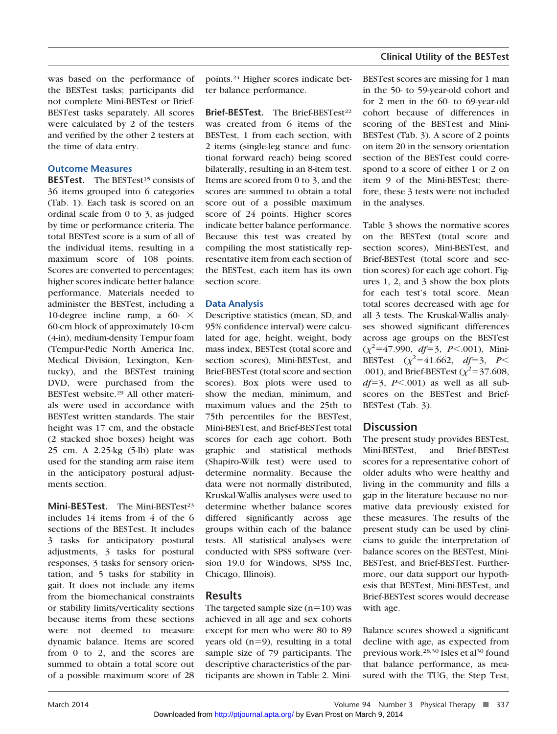was based on the performance of the BESTest tasks; participants did not complete Mini-BESTest or Brief-BESTest tasks separately. All scores were calculated by 2 of the testers and verified by the other 2 testers at the time of data entry.

## **Outcome Measures**

**BESTest.** The BESTest<sup>15</sup> consists of 36 items grouped into 6 categories (Tab. 1). Each task is scored on an ordinal scale from 0 to 3, as judged by time or performance criteria. The total BESTest score is a sum of all of the individual items, resulting in a maximum score of 108 points. Scores are converted to percentages; higher scores indicate better balance performance. Materials needed to administer the BESTest, including a 10-degree incline ramp, a 60- $\times$ 60-cm block of approximately 10-cm (4-in), medium-density Tempur foam (Tempur-Pedic North America Inc, Medical Division, Lexington, Kentucky), and the BESTest training DVD, were purchased from the BESTest website.29 All other materials were used in accordance with BESTest written standards. The stair height was 17 cm, and the obstacle (2 stacked shoe boxes) height was 25 cm. A 2.25-kg (5-lb) plate was used for the standing arm raise item in the anticipatory postural adjustments section.

Mini-BESTest. The Mini-BESTest<sup>23</sup> includes 14 items from 4 of the 6 sections of the BESTest. It includes 3 tasks for anticipatory postural adjustments, 3 tasks for postural responses, 3 tasks for sensory orientation, and 5 tasks for stability in gait. It does not include any items from the biomechanical constraints or stability limits/verticality sections because items from these sections were not deemed to measure dynamic balance. Items are scored from 0 to 2, and the scores are summed to obtain a total score out of a possible maximum score of 28

points.24 Higher scores indicate better balance performance.

**Brief-BESTest.** The Brief-BESTest<sup>22</sup> was created from 6 items of the BESTest, 1 from each section, with 2 items (single-leg stance and functional forward reach) being scored bilaterally, resulting in an 8-item test. Items are scored from 0 to 3, and the scores are summed to obtain a total score out of a possible maximum score of 24 points. Higher scores indicate better balance performance. Because this test was created by compiling the most statistically representative item from each section of the BESTest, each item has its own section score.

## **Data Analysis**

Descriptive statistics (mean, SD, and 95% confidence interval) were calculated for age, height, weight, body mass index, BESTest (total score and section scores), Mini-BESTest, and Brief-BESTest (total score and section scores). Box plots were used to show the median, minimum, and maximum values and the 25th to 75th percentiles for the BESTest, Mini-BESTest, and Brief-BESTest total scores for each age cohort. Both graphic and statistical methods (Shapiro-Wilk test) were used to determine normality. Because the data were not normally distributed, Kruskal-Wallis analyses were used to determine whether balance scores differed significantly across age groups within each of the balance tests. All statistical analyses were conducted with SPSS software (version 19.0 for Windows, SPSS Inc, Chicago, Illinois).

## **Results**

The targeted sample size  $(n=10)$  was achieved in all age and sex cohorts except for men who were 80 to 89 years old (n-9), resulting in a total sample size of 79 participants. The descriptive characteristics of the participants are shown [in Table 2. Mini-](http://ptjournal.apta.org/) BESTest scores are missing for 1 man in the 50- to 59-year-old cohort and for 2 men in the 60- to 69-year-old cohort because of differences in scoring of the BESTest and Mini-BESTest (Tab. 3). A score of 2 points on item 20 in the sensory orientation section of the BESTest could correspond to a score of either 1 or 2 on item 9 of the Mini-BESTest; therefore, these 3 tests were not included in the analyses.

Table 3 shows the normative scores on the BESTest (total score and section scores), Mini-BESTest, and Brief-BESTest (total score and section scores) for each age cohort. Figures 1, 2, and 3 show the box plots for each test's total score. Mean total scores decreased with age for all 3 tests. The Kruskal-Wallis analyses showed significant differences across age groups on the BESTest  $(\chi^2 = 47.990, df = 3, P < .001)$ , Mini-BESTest  $(\chi^2 = 41.662, df = 3, P <$ .001), and Brief-BESTest  $(\chi^2 = 37.608,$  $df=3$ ,  $P<.001$ ) as well as all subscores on the BESTest and Brief-BESTest (Tab. 3).

## **Discussion**

The present study provides BESTest, Mini-BESTest, and Brief-BESTest scores for a representative cohort of older adults who were healthy and living in the community and fills a gap in the literature because no normative data previously existed for these measures. The results of the present study can be used by clinicians to guide the interpretation of balance scores on the BESTest, Mini-BESTest, and Brief-BESTest. Furthermore, our data support our hypothesis that BESTest, Mini-BESTest, and Brief-BESTest scores would decrease with age.

Balance scores showed a significant decline with age, as expected from previous work.<sup>28,30</sup> Isles et al<sup>30</sup> found that balance performance, as measured with the TUG, the Step Test,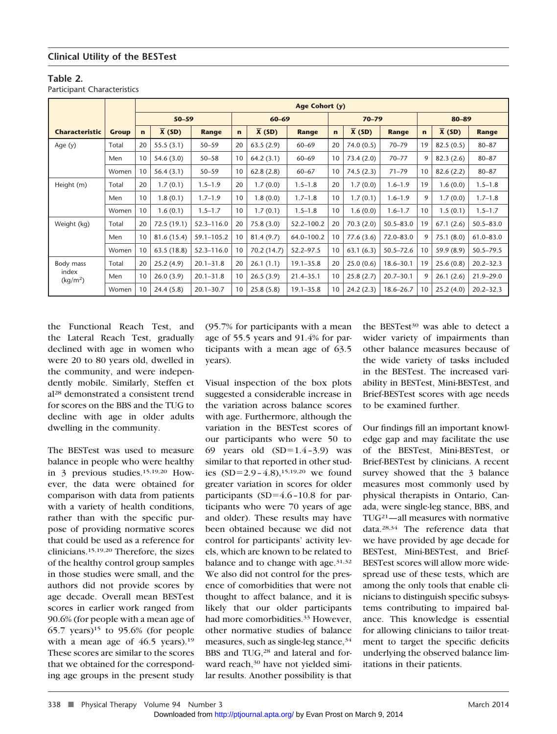## **Table 2.**

Participant Characteristics

|                               |       |              |                     |                |              |                     | Age Cohort (y) |             |                     |               |             |                     |               |
|-------------------------------|-------|--------------|---------------------|----------------|--------------|---------------------|----------------|-------------|---------------------|---------------|-------------|---------------------|---------------|
|                               |       |              | $50 - 59$           |                |              | $60 - 69$           |                |             | $70 - 79$           |               |             | 80-89               |               |
| <b>Characteristic</b>         | Group | $\mathbf{r}$ | $\overline{X}$ (SD) | <b>Range</b>   | $\mathbf{r}$ | $\overline{X}$ (SD) | <b>Range</b>   | $\mathbf n$ | $\overline{X}$ (SD) | <b>Range</b>  | $\mathbf n$ | $\overline{X}$ (SD) | <b>Range</b>  |
| Age $(y)$                     | Total | 20           | 55.5(3.1)           | $50 - 59$      | 20           | 63.5(2.9)           | $60 - 69$      | 20          | 74.0(0.5)           | $70 - 79$     | 19          | 82.5(0.5)           | $80 - 87$     |
|                               | Men   | 10           | 54.6(3.0)           | $50 - 58$      | 10           | 64.2(3.1)           | $60 - 69$      | 10          | 73.4(2.0)           | $70 - 77$     | 9           | 82.3(2.6)           | $80 - 87$     |
|                               | Women | 10           | 56.4(3.1)           | $50 - 59$      | 10           | 62.8(2.8)           | $60 - 67$      | 10          | 74.5(2.3)           | $71 - 79$     | 10          | 82.6(2.2)           | $80 - 87$     |
| Height (m)                    | Total | 20           | 1.7(0.1)            | $1.5 - 1.9$    | 20           | 1.7(0.0)            | $1.5 - 1.8$    | 20          | 1.7(0.0)            | $1.6 - 1.9$   | 19          | 1.6(0.0)            | $1.5 - 1.8$   |
|                               | Men   | 10           | 1.8(0.1)            | $1.7 - 1.9$    | 10           | 1.8(0.0)            | $1.7 - 1.8$    | 10          | 1.7(0.1)            | $1.6 - 1.9$   | 9           | 1.7(0.0)            | $1.7 - 1.8$   |
|                               | Women | 10           | 1.6(0.1)            | $1.5 - 1.7$    | 10           | 1.7(0.1)            | $1.5 - 1.8$    | 10          | 1.6(0.0)            | $1.6 - 1.7$   | 10          | 1.5(0.1)            | $1.5 - 1.7$   |
| Weight (kg)                   | Total | 20           | 72.5 (19.1)         | $52.3 - 116.0$ | 20           | 75.8(3.0)           | 52.2-100.2     | 20          | 70.3(2.0)           | $50.5 - 83.0$ | 19          | 67.1(2.6)           | $50.5 - 83.0$ |
|                               | Men   | 10           | 81.6 (15.4)         | $59.1 - 105.2$ | 10           | 81.4(9.7)           | 64.0-100.2     | 10          | 77.6(3.6)           | 72.0-83.0     | 9           | 75.1(8.0)           | $61.0 - 83.0$ |
|                               | Women | 10           | 63.5 (18.8)         | $52.3 - 116.0$ | 10           | 70.2 (14.7)         | 52.2-97.5      | 10          | 63.1(6.3)           | $50.5 - 72.6$ | 10          | 59.9 (8.9)          | $50.5 - 79.5$ |
| Body mass                     | Total | 20           | 25.2(4.9)           | $20.1 - 31.8$  | 20           | 26.1(1.1)           | $19.1 - 35.8$  | 20          | 25.0(0.6)           | $18.6 - 30.1$ | 19          | 25.6(0.8)           | $20.2 - 32.3$ |
| index<br>(kq/m <sup>2</sup> ) | Men   | 10           | 26.0(3.9)           | $20.1 - 31.8$  | 10           | 26.5(3.9)           | $21.4 - 35.1$  | 10          | 25.8(2.7)           | $20.7 - 30.1$ | 9           | 26.1(2.6)           | $21.9 - 29.0$ |
|                               | Women | 10           | 24.4(5.8)           | $20.1 - 30.7$  | 10           | 25.8(5.8)           | $19.1 - 35.8$  | 10          | 24.2(2.3)           | $18.6 - 26.7$ | 10          | 25.2(4.0)           | $20.2 - 32.3$ |

the Functional Reach Test, and the Lateral Reach Test, gradually declined with age in women who were 20 to 80 years old, dwelled in the community, and were independently mobile. Similarly, Steffen et al28 demonstrated a consistent trend for scores on the BBS and the TUG to decline with age in older adults dwelling in the community.

The BESTest was used to measure balance in people who were healthy in 3 previous studies.15,19,20 However, the data were obtained for comparison with data from patients with a variety of health conditions, rather than with the specific purpose of providing normative scores that could be used as a reference for clinicians.15,19,20 Therefore, the sizes of the healthy control group samples in those studies were small, and the authors did not provide scores by age decade. Overall mean BESTest scores in earlier work ranged from 90.6% (for people with a mean age of 65.7 years)<sup>15</sup> to 95.6% (for people with a mean age of 46.5 years).<sup>19</sup> These scores are similar to the scores that we obtained for the corresponding age groups in the present study

(95.7% for participants with a mean age of 55.5 years and 91.4% for participants with a mean age of 63.5 years).

Visual inspection of the box plots suggested a considerable increase in the variation across balance scores with age. Furthermore, although the variation in the BESTest scores of our participants who were 50 to 69 years old (SD-1.4 –3.9) was similar to that reported in other studies  $(SD=2.9-4.8),^{15,19,20}$  we found greater variation in scores for older participants (SD-4.6 –10.8 for participants who were 70 years of age and older). These results may have been obtained because we did not control for participants' activity levels, which are known to be related to balance and to change with age.<sup>31,32</sup> We also did not control for the presence of comorbidities that were not thought to affect balance, and it is likely that our older participants had more comorbidities.<sup>33</sup> However, other normative studies of balance measures, such as single-leg stance, 34 BBS and TUG,<sup>28</sup> and lateral and forward reach,<sup>30</sup> have not yielded similar results. Another [possibility is that](http://ptjournal.apta.org/) the BESTest<sup>30</sup> was able to detect a wider variety of impairments than other balance measures because of the wide variety of tasks included in the BESTest. The increased variability in BESTest, Mini-BESTest, and Brief-BESTest scores with age needs to be examined further.

Our findings fill an important knowledge gap and may facilitate the use of the BESTest, Mini-BESTest, or Brief-BESTest by clinicians. A recent survey showed that the 3 balance measures most commonly used by physical therapists in Ontario, Canada, were single-leg stance, BBS, and TUG21—all measures with normative data.28,34 The reference data that we have provided by age decade for BESTest, Mini-BESTest, and Brief-BESTest scores will allow more widespread use of these tests, which are among the only tools that enable clinicians to distinguish specific subsystems contributing to impaired balance. This knowledge is essential for allowing clinicians to tailor treatment to target the specific deficits underlying the observed balance limitations in their patients.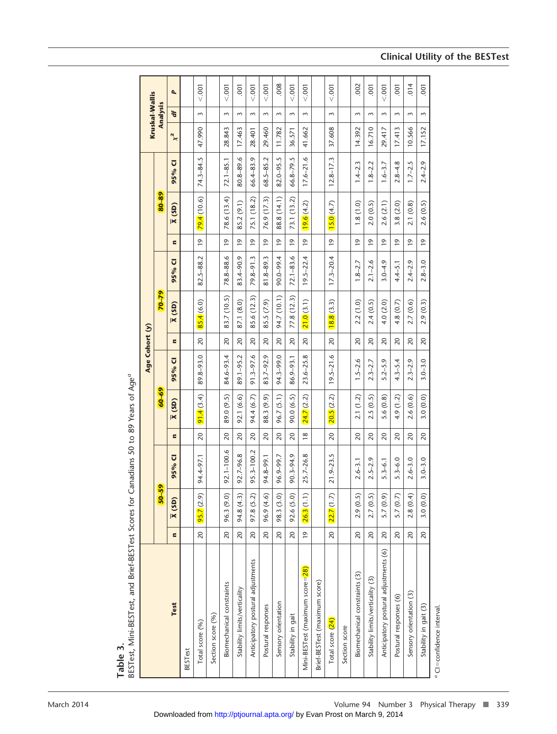|                                       |                |                     |               |                |                                 | Age Cohort (y) |                |                                 |                       |                 |                                 |                       | Kruskal-Wallis |          |                |
|---------------------------------------|----------------|---------------------|---------------|----------------|---------------------------------|----------------|----------------|---------------------------------|-----------------------|-----------------|---------------------------------|-----------------------|----------------|----------|----------------|
|                                       |                | $50 - 59$           |               |                | $60 + 69$                       |                |                | 70-79                           |                       |                 | 80-89                           |                       |                | Analysis |                |
| Test                                  | $\epsilon$     | $\overline{X}$ (SD) | 95% CI        | $\blacksquare$ | (SD)<br>$\overline{\mathbf{x}}$ | 95% CI         | $\blacksquare$ | (SD)<br>$\overline{\mathbf{x}}$ | $\overline{U}$<br>95% | $\blacksquare$  | (SD)<br>$\overline{\mathbf{x}}$ | $\overline{U}$<br>95% | $\chi$         | ď        | À,             |
| <b>BESTest</b>                        |                |                     |               |                |                                 |                |                |                                 |                       |                 |                                 |                       |                |          |                |
| Total score (%)                       | 20             | 95.7(2.9)           | 94.4-97.1     | 20             | 91.4(3.4)                       | 89.8-93.0      | 20             | 85.4(6.0)                       | 82.5-88.2             | $\overline{0}$  | 79.4(10.6)                      | 74.3-84.5             | 47.990         | $\sim$   | < .001         |
| Section score (%)                     |                |                     |               |                |                                 |                |                |                                 |                       |                 |                                 |                       |                |          |                |
| Biomechanical constraints             | 20             | 96.3 (9.0)          | 92.1-100.6    | 20             | 89.0 (9.5)                      | 84.6-93.4      | 20             | 83.7 (10.5)                     | 78.8-88.6             | $\overline{19}$ | 78.6 (13.4)                     | $72.1 - 85.1$         | 28.843         | $\sim$   | < .001         |
| Stability limits/verticality          | 20             | 94.8 (4.3)          | 92.7-96.8     | 20             | 92.1 (6.6)                      | 89.1-95.2      | 20             | 87.1 (8.0)                      | 83.4-90.9             | $\overline{0}$  | 85.2 (9.1)                      | 80.8-89.6             | 17.463         | 3        | $-001$         |
| Anticipatory postural adjustments     | 20             | 97.8 (5.2)          | 95.3-100.2    | 20             | 94.4 (6.7)                      | $91.3 - 97.6$  | $\approx$      | 85.6 (12.3)                     | $79.8 - 91.3$         | $\overline{9}$  | 75.1 (18.2)                     | 66.4-83.9             | 28.401         | 3        | $000 -$        |
| Postural responses                    | 20             | 96.9 (4.6)          | 94.8-99.1     | 20             | 88.3 (9.9)                      | 83.7-92.9      | $\overline{c}$ | 85.5 (7.9)                      | 81.8-89.3             | $\overline{9}$  | 76.9 (17.3)                     | 68.5-85.2             | 29.460         | $\sim$   | $000 -$        |
| Sensory orientation                   | 20             | 98.3 (3.0)          | 96.9-99.7     | 20             | 96.7(5.1)                       | 94.3-99.0      | $\overline{c}$ | 94.7 (10.1)                     | 90.0-99.4             | $\overline{9}$  | 88.8 (14.1)                     | $82.0 - 95.5$         | 11.782         | $\sim$   | 008            |
| Stability in gait                     | 20             | 92.6 (5.0)          | 90.3-94.9     | 20             | 90.0 (6.5)                      | 86.9-93.1      | $\overline{c}$ | 77.8 (12.3)                     | $72.1 - 83.6$         | $\overline{9}$  | 73.1 (13.2)                     | 66.8-79.5             | 36.571         | 3        | $000 -$        |
| Mini-BESTest (maximum score=28)       | $\overline{0}$ | 26.3(1.1)           | 25.7-26.8     | $\frac{8}{2}$  | 24.7(2.2)                       | $23.6 - 25.8$  | $\overline{c}$ | 21.0(3.1)                       | $19.5 - 22.4$         | $\overline{9}$  | 19.6(4.2)                       | $17.6 - 21.6$         | 41.662         | $\sim$   | < .001         |
| Brief-BESTest (maximum score)         |                |                     |               |                |                                 |                |                |                                 |                       |                 |                                 |                       |                |          |                |
| Total score (24)                      | 20             | 22.7(1.7)           | $21.9 - 23.5$ | 20             | 20.5(2.2)                       | $19.5 - 21.6$  | $\overline{c}$ | 18.8(3.3)                       | $17.3 - 20.4$         | $\overline{9}$  | 15.0(4.7)                       | $12.8 - 17.3$         | 37.608         | $\sim$   | 001            |
| Section score                         |                |                     |               |                |                                 |                |                |                                 |                       |                 |                                 |                       |                |          |                |
| Biomechanical constraints (3)         | 20             | 2.9(0.5)            | $2.6 - 3.1$   | 20             | 2.1(1.2)                        | $1.5 - 2.6$    | 20             | 2.2(1.0)                        | $1.8 - 2.7$           | $\overline{0}$  | 1.8(1.0)                        | $1.4 - 2.3$           | 14.392         | 3        | 002            |
| Stability limits/verticality (3)      | 20             | 2.7(0.5)            | $2.5 - 2.9$   | 20             | 2.5(0.5)                        | $2.3 - 2.7$    | 20             | 2.4(0.5)                        | $2.1 - 2.6$           | $\overline{9}$  | 2.0(0.5)                        | $1.8 - 2.2$           | 16.710         | 3        | $\overline{0}$ |
| Anticipatory postural adjustments (6) | 20             | 5.7(0.9)            | $5.3 - 6.1$   | 20             | 5.6(0.8)                        | $5.2 - 5.9$    | $\overline{c}$ | 4.0(2.0)                        | $3.0 - 4.9$           | $\overline{9}$  | 2.6(2.1)                        | $1.6 - 3.7$           | 29.417         | $\sim$   | $000 -$        |
| Postural responses (6)                | 20             | 5.7(0.7)            | $5.3 - 6.0$   | 20             | 4.9(1.2)                        | $4.3 - 5.4$    | 20             | 4.8(0.7)                        | $4.4 - 5.1$           | $\overline{9}$  | 3.8(2.0)                        | $2.8 - 4.8$           | 17.413         | $\sim$   | $\overline{0}$ |
| Sensory orientation (3)               | 20             | 2.8(0.4)            | $2.6 - 3.0$   | 20             | 2.6(0.6)                        | $2.3 - 2.9$    | $\overline{c}$ | 2.7(0.6)                        | $2.4 - 2.9$           | $\overline{0}$  | (0.8)<br>2.1                    | $1.7 - 2.5$           | 10.566         | 3        | $\frac{4}{10}$ |
| Stability in gait (3)                 | 20             | 3.0(0.0)            | $3.0 - 3.0$   | 20             | 3.0(0.0)                        | $3.0 - 3.0$    | 20             | 2.9(0.3)                        | $2.8 - 3.0$           | $\overline{9}$  | 2.6 (0.5)                       | $2.4 - 2.9$           | 17.152         | 3        | $\overline{0}$ |

on v. J,  $\tilde{\zeta}$ ÷  $\mathfrak{c}$  $\ddot{\phantom{0}}$  $\overline{\mathbf{C}}$  $\overline{1}$ ء<br>د  $:$   $PFCT$  $\ddot{\cdot}$ **Table 3.**

## **Clinical Utility of the BESTest**

*a* CI-

confidence interval.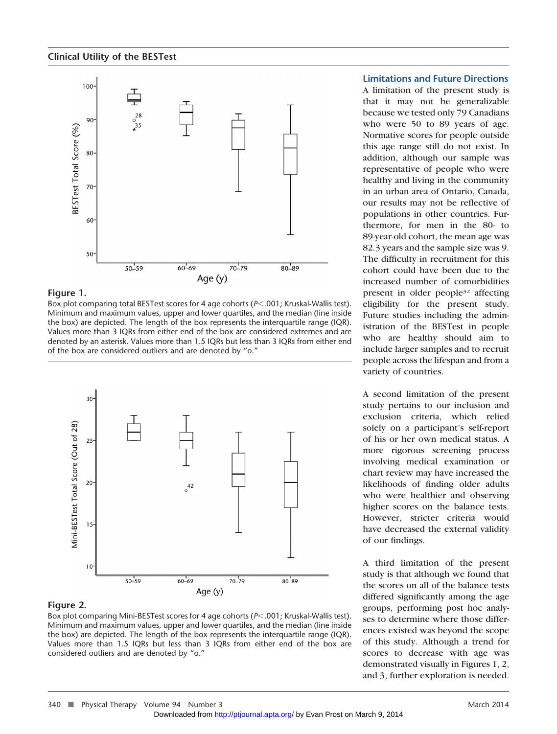

## **Figure 1.**

Box plot comparing total BESTest scores for 4 age cohorts (*P*.001; Kruskal-Wallis test). Minimum and maximum values, upper and lower quartiles, and the median (line inside the box) are depicted. The length of the box represents the interquartile range (IQR). Values more than 3 IQRs from either end of the box are considered extremes and are denoted by an asterisk. Values more than 1.5 IQRs but less than 3 IQRs from either end of the box are considered outliers and are denoted by "o."



## **Figure 2.**

Box plot comparing Mini-BESTest scores for 4 age cohorts ( $P$ <.001; Kruskal-Wallis test). Minimum and maximum values, upper and lower quartiles, and the median (line inside the box) are depicted. The length of the box represents the interquartile range (IQR). Values more than 1.5 IQRs but less than 3 IQRs from either end of the box are considered outliers and are denoted by "o."

## **Limitations and Future Directions**

A limitation of the present study is that it may not be generalizable because we tested only 79 Canadians who were 50 to 89 years of age. Normative scores for people outside this age range still do not exist. In addition, although our sample was representative of people who were healthy and living in the community in an urban area of Ontario, Canada, our results may not be reflective of populations in other countries. Furthermore, for men in the 80- to 89-year-old cohort, the mean age was 82.3 years and the sample size was 9. The difficulty in recruitment for this cohort could have been due to the increased number of comorbidities present in older people32 affecting eligibility for the present study. Future studies including the administration of the BESTest in people who are healthy should aim to include larger samples and to recruit people across the lifespan and from a variety of countries.

A second limitation of the present study pertains to our inclusion and exclusion criteria, which relied solely on a participant's self-report of his or her own medical status. A more rigorous screening process involving medical examination or chart review may have increased the likelihoods of finding older adults who were healthier and observing higher scores on the balance tests. However, stricter criteria would have decreased the external validity of our findings.

A third limitation of the present study is that although we found that the scores on all of the balance tests differed significantly among the age groups, performing post hoc analyses to determine where those differences existed was beyond the scope of this study. Although a trend for scores to decrease with age was demonstrated visually in Figures 1, 2, [an](http://ptjournal.apta.org/)d 3, further exploration is needed.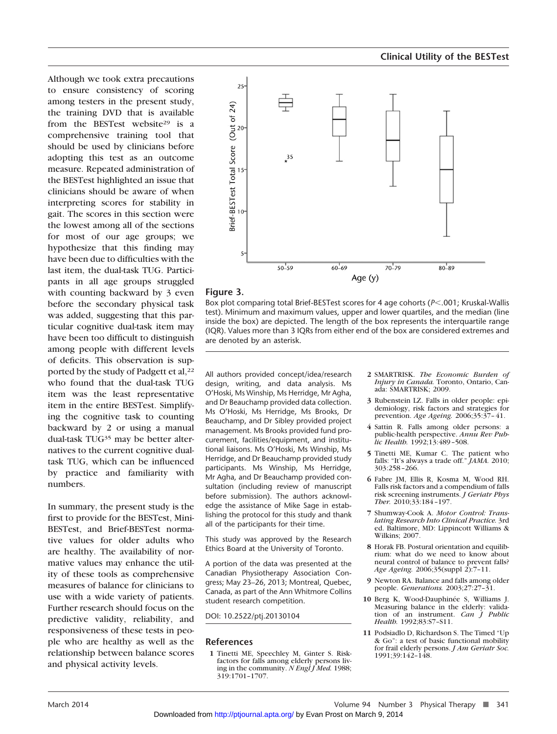Although we took extra precautions to ensure consistency of scoring among testers in the present study, the training DVD that is available from the BESTest website<sup>29</sup> is a comprehensive training tool that should be used by clinicians before adopting this test as an outcome measure. Repeated administration of the BESTest highlighted an issue that clinicians should be aware of when interpreting scores for stability in gait. The scores in this section were the lowest among all of the sections for most of our age groups; we hypothesize that this finding may have been due to difficulties with the last item, the dual-task TUG. Participants in all age groups struggled with counting backward by 3 even before the secondary physical task was added, suggesting that this particular cognitive dual-task item may have been too difficult to distinguish among people with different levels of deficits. This observation is supported by the study of Padgett et al,<sup>22</sup> who found that the dual-task TUG item was the least representative item in the entire BESTest. Simplifying the cognitive task to counting backward by 2 or using a manual dual-task TUG35 may be better alternatives to the current cognitive dualtask TUG, which can be influenced by practice and familiarity with numbers.

In summary, the present study is the first to provide for the BESTest, Mini-BESTest, and Brief-BESTest normative values for older adults who are healthy. The availability of normative values may enhance the utility of these tools as comprehensive measures of balance for clinicians to use with a wide variety of patients. Further research should focus on the predictive validity, reliability, and responsiveness of these tests in people who are healthy as well as the relationship between balance scores and physical activity levels.



#### **Figure 3.**

Box plot comparing total Brief-BESTest scores for 4 age cohorts ( $P < .001$ ; Kruskal-Wallis test). Minimum and maximum values, upper and lower quartiles, and the median (line inside the box) are depicted. The length of the box represents the interquartile range (IQR). Values more than 3 IQRs from either end of the box are considered extremes and are denoted by an asterisk.

All authors provided concept/idea/research design, writing, and data analysis. Ms O'Hoski, Ms Winship, Ms Herridge, Mr Agha, and Dr Beauchamp provided data collection. Ms O'Hoski, Ms Herridge, Ms Brooks, Dr Beauchamp, and Dr Sibley provided project management. Ms Brooks provided fund procurement, facilities/equipment, and institutional liaisons. Ms O'Hoski, Ms Winship, Ms Herridge, and Dr Beauchamp provided study participants. Ms Winship, Ms Herridge, Mr Agha, and Dr Beauchamp provided consultation (including review of manuscript before submission). The authors acknowledge the assistance of Mike Sage in establishing the protocol for this study and thank all of the participants for their time.

This study was approved by the Research Ethics Board at the University of Toronto.

A portion of the data was presented at the Canadian Physiotherapy Association Congress; May 23–26, 2013; Montreal, Quebec, Canada, as part of the Ann Whitmore Collins student research competition.

DOI: 10.2522/ptj.20130104

#### **References**

**1** Tinetti ME, Speechley M, Ginter S. Riskfactors for falls among elderly persons living in the community. *N Engl J Med.* 1988; 319:1701–1707.

- **2** SMARTRISK. *The Economic Burden of Injury in Canada.* Toronto, Ontario, Canada: SMARTRISK; 2009.
- **3** Rubenstein LZ. Falls in older people: epidemiology, risk factors and strategies for prevention. *Age Ageing.* 2006;35:37– 41.
- **4** Sattin R. Falls among older persons: a public-health perspective. *Annu Rev Public Health.* 1992;13:489 –508.
- **5** Tinetti ME, Kumar C. The patient who falls: "It's always a trade off." *JAMA.* 2010; 303:258 –266.
- **6** Fabre JM, Ellis R, Kosma M, Wood RH. Falls risk factors and a compendium of falls risk screening instruments. *J Geriatr Phys Ther.* 2010;33:184 –197.
- **7** Shumway-Cook A. *Motor Control: Translating Research Into Clinical Practice.* 3rd ed. Baltimore, MD: Lippincott Williams & Wilkins: 2007
- **8** Horak FB. Postural orientation and equilibrium: what do we need to know about neural control of balance to prevent falls? *Age Ageing.* 2006;35(suppl 2):7–11.
- **9** Newton RA. Balance and falls among older people. *Generations.* 2003;27:27–31.
- 10 Berg K, Wood-Dauphinée S, Williams J. Measuring balance in the elderly: validation of an instrument. *Can J Public Health.* 1992;83:S7–S11.
- **11** Podsiadlo D, Richardson S. The Timed "Up & Go": a test of basic functional mobility for frail elderly persons. *J Am Geriatr Soc.* 1991;39:142–148.